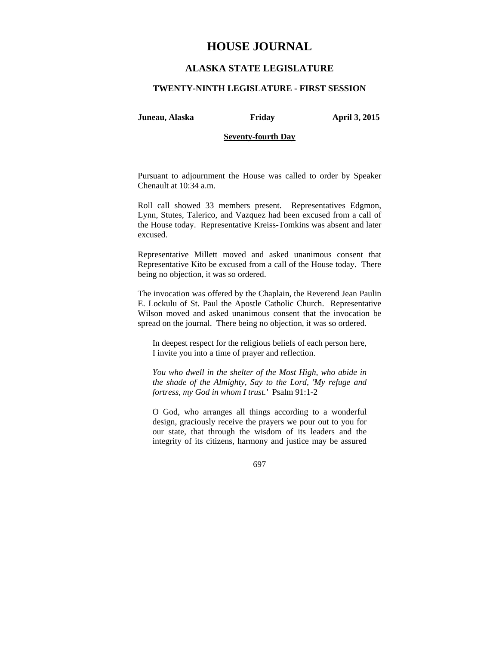## **ALASKA STATE LEGISLATURE**

## **TWENTY-NINTH LEGISLATURE - FIRST SESSION**

**Juneau, Alaska Friday April 3, 2015** 

## **Seventy-fourth Day**

Pursuant to adjournment the House was called to order by Speaker Chenault at 10:34 a.m.

Roll call showed 33 members present. Representatives Edgmon, Lynn, Stutes, Talerico, and Vazquez had been excused from a call of the House today. Representative Kreiss-Tomkins was absent and later excused.

Representative Millett moved and asked unanimous consent that Representative Kito be excused from a call of the House today. There being no objection, it was so ordered.

The invocation was offered by the Chaplain, the Reverend Jean Paulin E. Lockulu of St. Paul the Apostle Catholic Church. Representative Wilson moved and asked unanimous consent that the invocation be spread on the journal. There being no objection, it was so ordered.

In deepest respect for the religious beliefs of each person here, I invite you into a time of prayer and reflection.

*You who dwell in the shelter of the Most High, who abide in the shade of the Almighty, Say to the Lord, 'My refuge and fortress, my God in whom I trust.'* Psalm 91:1-2

O God, who arranges all things according to a wonderful design, graciously receive the prayers we pour out to you for our state, that through the wisdom of its leaders and the integrity of its citizens, harmony and justice may be assured

697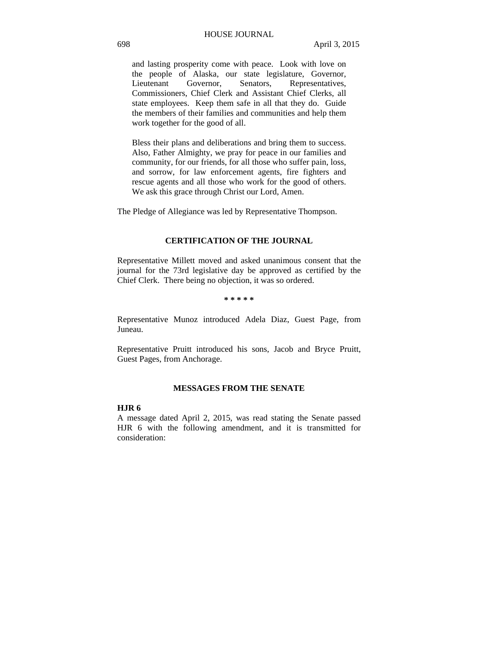and lasting prosperity come with peace. Look with love on the people of Alaska, our state legislature, Governor, Lieutenant Governor, Senators, Representatives, Commissioners, Chief Clerk and Assistant Chief Clerks, all state employees. Keep them safe in all that they do. Guide the members of their families and communities and help them work together for the good of all.

Bless their plans and deliberations and bring them to success. Also, Father Almighty, we pray for peace in our families and community, for our friends, for all those who suffer pain, loss, and sorrow, for law enforcement agents, fire fighters and rescue agents and all those who work for the good of others. We ask this grace through Christ our Lord, Amen.

The Pledge of Allegiance was led by Representative Thompson.

## **CERTIFICATION OF THE JOURNAL**

Representative Millett moved and asked unanimous consent that the journal for the 73rd legislative day be approved as certified by the Chief Clerk. There being no objection, it was so ordered.

**\* \* \* \* \*** 

Representative Munoz introduced Adela Diaz, Guest Page, from Juneau.

Representative Pruitt introduced his sons, Jacob and Bryce Pruitt, Guest Pages, from Anchorage.

## **MESSAGES FROM THE SENATE**

## **HJR 6**

A message dated April 2, 2015, was read stating the Senate passed HJR 6 with the following amendment, and it is transmitted for consideration: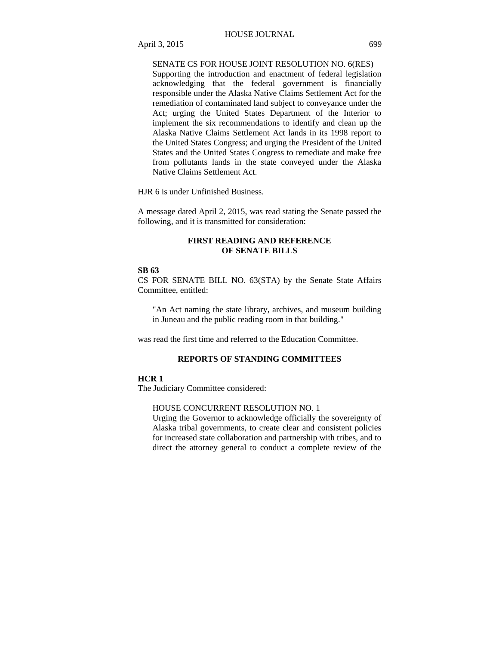## April 3, 2015 699

## SENATE CS FOR HOUSE JOINT RESOLUTION NO. 6(RES)

Supporting the introduction and enactment of federal legislation acknowledging that the federal government is financially responsible under the Alaska Native Claims Settlement Act for the remediation of contaminated land subject to conveyance under the Act; urging the United States Department of the Interior to implement the six recommendations to identify and clean up the Alaska Native Claims Settlement Act lands in its 1998 report to the United States Congress; and urging the President of the United States and the United States Congress to remediate and make free from pollutants lands in the state conveyed under the Alaska Native Claims Settlement Act.

HJR 6 is under Unfinished Business.

A message dated April 2, 2015, was read stating the Senate passed the following, and it is transmitted for consideration:

## **FIRST READING AND REFERENCE OF SENATE BILLS**

## **SB 63**

CS FOR SENATE BILL NO. 63(STA) by the Senate State Affairs Committee, entitled:

"An Act naming the state library, archives, and museum building in Juneau and the public reading room in that building."

was read the first time and referred to the Education Committee.

## **REPORTS OF STANDING COMMITTEES**

#### **HCR 1**

The Judiciary Committee considered:

#### HOUSE CONCURRENT RESOLUTION NO. 1

Urging the Governor to acknowledge officially the sovereignty of Alaska tribal governments, to create clear and consistent policies for increased state collaboration and partnership with tribes, and to direct the attorney general to conduct a complete review of the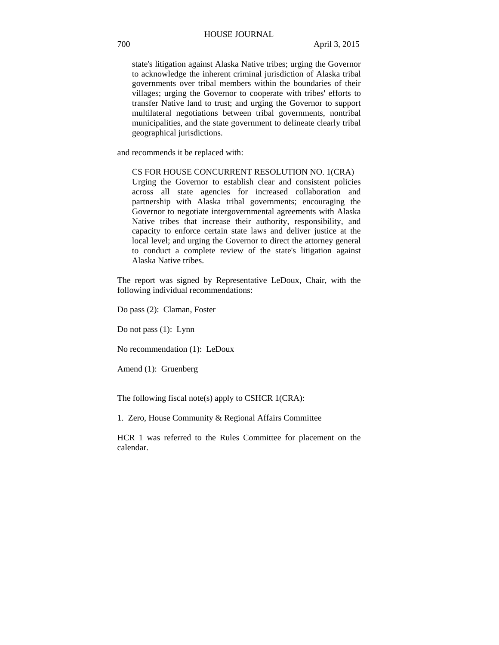state's litigation against Alaska Native tribes; urging the Governor to acknowledge the inherent criminal jurisdiction of Alaska tribal governments over tribal members within the boundaries of their villages; urging the Governor to cooperate with tribes' efforts to transfer Native land to trust; and urging the Governor to support multilateral negotiations between tribal governments, nontribal municipalities, and the state government to delineate clearly tribal geographical jurisdictions.

and recommends it be replaced with:

## CS FOR HOUSE CONCURRENT RESOLUTION NO. 1(CRA)

Urging the Governor to establish clear and consistent policies across all state agencies for increased collaboration and partnership with Alaska tribal governments; encouraging the Governor to negotiate intergovernmental agreements with Alaska Native tribes that increase their authority, responsibility, and capacity to enforce certain state laws and deliver justice at the local level; and urging the Governor to direct the attorney general to conduct a complete review of the state's litigation against Alaska Native tribes.

The report was signed by Representative LeDoux, Chair, with the following individual recommendations:

Do pass (2): Claman, Foster

Do not pass (1): Lynn

No recommendation (1): LeDoux

Amend (1): Gruenberg

The following fiscal note(s) apply to CSHCR 1(CRA):

1. Zero, House Community & Regional Affairs Committee

HCR 1 was referred to the Rules Committee for placement on the calendar.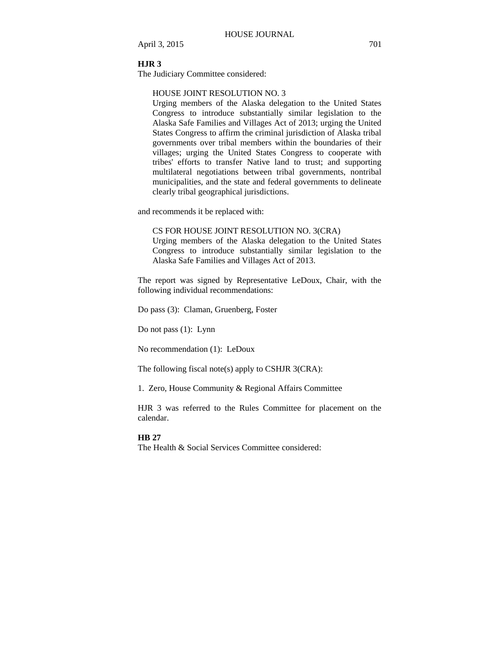#### **HJR 3**

The Judiciary Committee considered:

## HOUSE JOINT RESOLUTION NO. 3

Urging members of the Alaska delegation to the United States Congress to introduce substantially similar legislation to the Alaska Safe Families and Villages Act of 2013; urging the United States Congress to affirm the criminal jurisdiction of Alaska tribal governments over tribal members within the boundaries of their villages; urging the United States Congress to cooperate with tribes' efforts to transfer Native land to trust; and supporting multilateral negotiations between tribal governments, nontribal municipalities, and the state and federal governments to delineate clearly tribal geographical jurisdictions.

and recommends it be replaced with:

CS FOR HOUSE JOINT RESOLUTION NO. 3(CRA)

Urging members of the Alaska delegation to the United States Congress to introduce substantially similar legislation to the Alaska Safe Families and Villages Act of 2013.

The report was signed by Representative LeDoux, Chair, with the following individual recommendations:

Do pass (3): Claman, Gruenberg, Foster

Do not pass (1): Lynn

No recommendation (1): LeDoux

The following fiscal note(s) apply to CSHJR 3(CRA):

1. Zero, House Community & Regional Affairs Committee

HJR 3 was referred to the Rules Committee for placement on the calendar.

#### **HB 27**

The Health & Social Services Committee considered: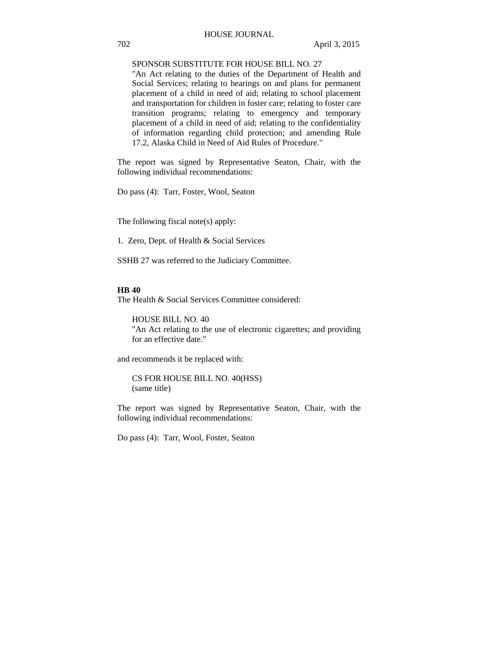## SPONSOR SUBSTITUTE FOR HOUSE BILL NO. 27

"An Act relating to the duties of the Department of Health and Social Services; relating to hearings on and plans for permanent placement of a child in need of aid; relating to school placement and transportation for children in foster care; relating to foster care transition programs; relating to emergency and temporary placement of a child in need of aid; relating to the confidentiality of information regarding child protection; and amending Rule 17.2, Alaska Child in Need of Aid Rules of Procedure."

The report was signed by Representative Seaton, Chair, with the following individual recommendations:

Do pass (4): Tarr, Foster, Wool, Seaton

The following fiscal note(s) apply:

1. Zero, Dept. of Health & Social Services

SSHB 27 was referred to the Judiciary Committee.

#### **HB 40**

The Health & Social Services Committee considered:

HOUSE BILL NO. 40 "An Act relating to the use of electronic cigarettes; and providing for an effective date."

and recommends it be replaced with:

CS FOR HOUSE BILL NO. 40(HSS) (same title)

The report was signed by Representative Seaton, Chair, with the following individual recommendations:

Do pass (4): Tarr, Wool, Foster, Seaton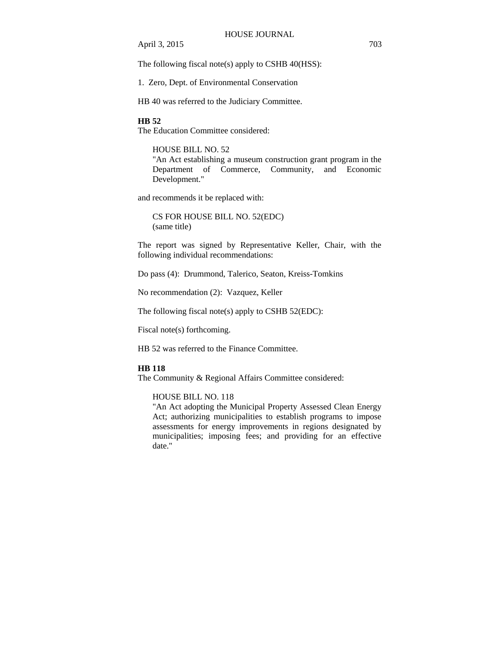The following fiscal note(s) apply to CSHB 40(HSS):

1. Zero, Dept. of Environmental Conservation

HB 40 was referred to the Judiciary Committee.

## **HB 52**

The Education Committee considered:

## HOUSE BILL NO. 52

"An Act establishing a museum construction grant program in the Department of Commerce, Community, and Economic Development."

and recommends it be replaced with:

CS FOR HOUSE BILL NO. 52(EDC) (same title)

The report was signed by Representative Keller, Chair, with the following individual recommendations:

Do pass (4): Drummond, Talerico, Seaton, Kreiss-Tomkins

No recommendation (2): Vazquez, Keller

The following fiscal note(s) apply to CSHB 52(EDC):

Fiscal note(s) forthcoming.

HB 52 was referred to the Finance Committee.

#### **HB 118**

The Community & Regional Affairs Committee considered:

#### HOUSE BILL NO. 118

"An Act adopting the Municipal Property Assessed Clean Energy Act; authorizing municipalities to establish programs to impose assessments for energy improvements in regions designated by municipalities; imposing fees; and providing for an effective date."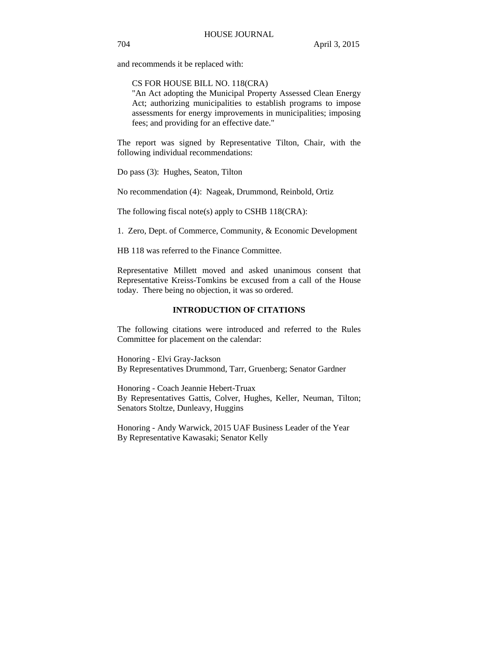and recommends it be replaced with:

CS FOR HOUSE BILL NO. 118(CRA)

"An Act adopting the Municipal Property Assessed Clean Energy Act; authorizing municipalities to establish programs to impose assessments for energy improvements in municipalities; imposing fees; and providing for an effective date."

The report was signed by Representative Tilton, Chair, with the following individual recommendations:

Do pass (3): Hughes, Seaton, Tilton

No recommendation (4): Nageak, Drummond, Reinbold, Ortiz

The following fiscal note(s) apply to CSHB 118(CRA):

1. Zero, Dept. of Commerce, Community, & Economic Development

HB 118 was referred to the Finance Committee.

Representative Millett moved and asked unanimous consent that Representative Kreiss-Tomkins be excused from a call of the House today. There being no objection, it was so ordered.

#### **INTRODUCTION OF CITATIONS**

The following citations were introduced and referred to the Rules Committee for placement on the calendar:

Honoring - Elvi Gray-Jackson By Representatives Drummond, Tarr, Gruenberg; Senator Gardner

Honoring - Coach Jeannie Hebert-Truax By Representatives Gattis, Colver, Hughes, Keller, Neuman, Tilton; Senators Stoltze, Dunleavy, Huggins

Honoring - Andy Warwick, 2015 UAF Business Leader of the Year By Representative Kawasaki; Senator Kelly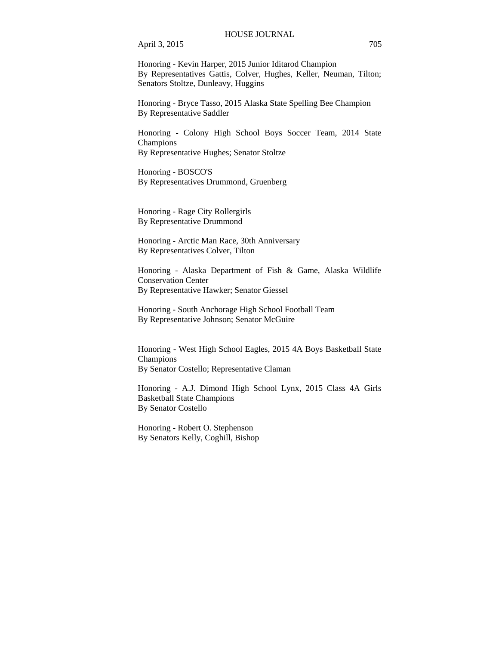April 3, 2015 705

Honoring - Kevin Harper, 2015 Junior Iditarod Champion By Representatives Gattis, Colver, Hughes, Keller, Neuman, Tilton; Senators Stoltze, Dunleavy, Huggins

Honoring - Bryce Tasso, 2015 Alaska State Spelling Bee Champion By Representative Saddler

Honoring - Colony High School Boys Soccer Team, 2014 State Champions By Representative Hughes; Senator Stoltze

Honoring - BOSCO'S By Representatives Drummond, Gruenberg

Honoring - Rage City Rollergirls By Representative Drummond

Honoring - Arctic Man Race, 30th Anniversary By Representatives Colver, Tilton

Honoring - Alaska Department of Fish & Game, Alaska Wildlife Conservation Center By Representative Hawker; Senator Giessel

Honoring - South Anchorage High School Football Team By Representative Johnson; Senator McGuire

Honoring - West High School Eagles, 2015 4A Boys Basketball State Champions By Senator Costello; Representative Claman

Honoring - A.J. Dimond High School Lynx, 2015 Class 4A Girls Basketball State Champions By Senator Costello

Honoring - Robert O. Stephenson By Senators Kelly, Coghill, Bishop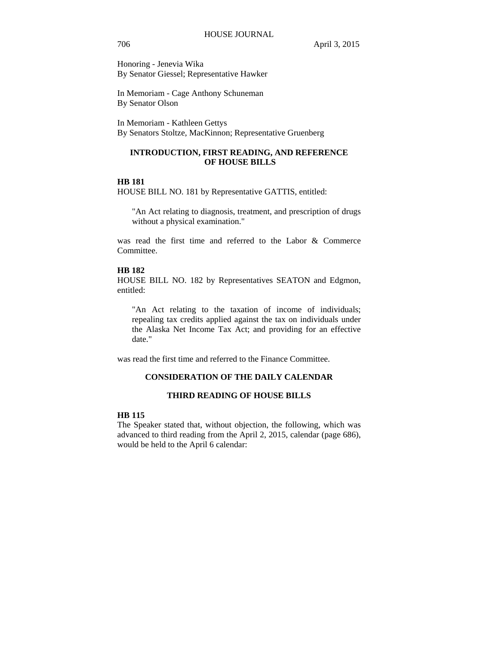Honoring - Jenevia Wika By Senator Giessel; Representative Hawker

In Memoriam - Cage Anthony Schuneman By Senator Olson

In Memoriam - Kathleen Gettys

By Senators Stoltze, MacKinnon; Representative Gruenberg

## **INTRODUCTION, FIRST READING, AND REFERENCE OF HOUSE BILLS**

## **HB 181**

HOUSE BILL NO. 181 by Representative GATTIS, entitled:

"An Act relating to diagnosis, treatment, and prescription of drugs without a physical examination."

was read the first time and referred to the Labor & Commerce Committee.

## **HB 182**

HOUSE BILL NO. 182 by Representatives SEATON and Edgmon, entitled:

"An Act relating to the taxation of income of individuals; repealing tax credits applied against the tax on individuals under the Alaska Net Income Tax Act; and providing for an effective date."

was read the first time and referred to the Finance Committee.

## **CONSIDERATION OF THE DAILY CALENDAR**

## **THIRD READING OF HOUSE BILLS**

## **HB 115**

The Speaker stated that, without objection, the following, which was advanced to third reading from the April 2, 2015, calendar (page 686), would be held to the April 6 calendar: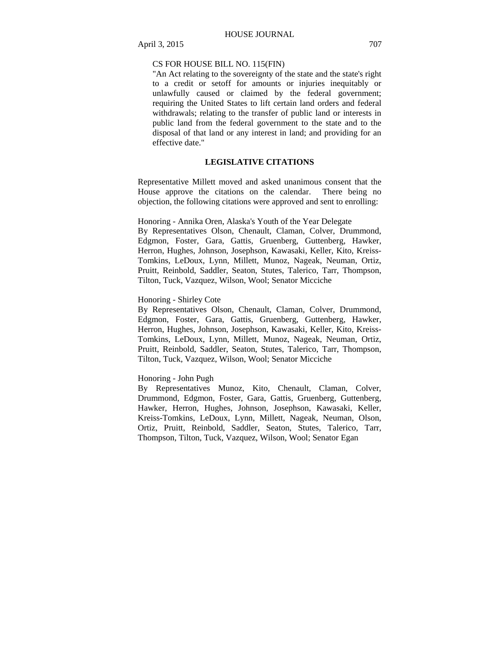## CS FOR HOUSE BILL NO. 115(FIN)

"An Act relating to the sovereignty of the state and the state's right to a credit or setoff for amounts or injuries inequitably or unlawfully caused or claimed by the federal government; requiring the United States to lift certain land orders and federal withdrawals; relating to the transfer of public land or interests in public land from the federal government to the state and to the disposal of that land or any interest in land; and providing for an effective date."

## **LEGISLATIVE CITATIONS**

Representative Millett moved and asked unanimous consent that the House approve the citations on the calendar. There being no objection, the following citations were approved and sent to enrolling:

Honoring - Annika Oren, Alaska's Youth of the Year Delegate By Representatives Olson, Chenault, Claman, Colver, Drummond, Edgmon, Foster, Gara, Gattis, Gruenberg, Guttenberg, Hawker, Herron, Hughes, Johnson, Josephson, Kawasaki, Keller, Kito, Kreiss-Tomkins, LeDoux, Lynn, Millett, Munoz, Nageak, Neuman, Ortiz, Pruitt, Reinbold, Saddler, Seaton, Stutes, Talerico, Tarr, Thompson, Tilton, Tuck, Vazquez, Wilson, Wool; Senator Micciche

## Honoring - Shirley Cote

By Representatives Olson, Chenault, Claman, Colver, Drummond, Edgmon, Foster, Gara, Gattis, Gruenberg, Guttenberg, Hawker, Herron, Hughes, Johnson, Josephson, Kawasaki, Keller, Kito, Kreiss-Tomkins, LeDoux, Lynn, Millett, Munoz, Nageak, Neuman, Ortiz, Pruitt, Reinbold, Saddler, Seaton, Stutes, Talerico, Tarr, Thompson, Tilton, Tuck, Vazquez, Wilson, Wool; Senator Micciche

#### Honoring - John Pugh

By Representatives Munoz, Kito, Chenault, Claman, Colver, Drummond, Edgmon, Foster, Gara, Gattis, Gruenberg, Guttenberg, Hawker, Herron, Hughes, Johnson, Josephson, Kawasaki, Keller, Kreiss-Tomkins, LeDoux, Lynn, Millett, Nageak, Neuman, Olson, Ortiz, Pruitt, Reinbold, Saddler, Seaton, Stutes, Talerico, Tarr, Thompson, Tilton, Tuck, Vazquez, Wilson, Wool; Senator Egan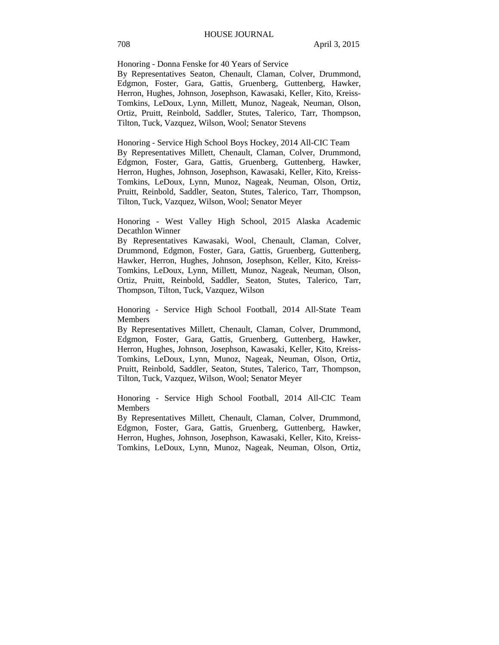Honoring - Donna Fenske for 40 Years of Service

By Representatives Seaton, Chenault, Claman, Colver, Drummond, Edgmon, Foster, Gara, Gattis, Gruenberg, Guttenberg, Hawker, Herron, Hughes, Johnson, Josephson, Kawasaki, Keller, Kito, Kreiss-Tomkins, LeDoux, Lynn, Millett, Munoz, Nageak, Neuman, Olson, Ortiz, Pruitt, Reinbold, Saddler, Stutes, Talerico, Tarr, Thompson, Tilton, Tuck, Vazquez, Wilson, Wool; Senator Stevens

Honoring - Service High School Boys Hockey, 2014 All-CIC Team By Representatives Millett, Chenault, Claman, Colver, Drummond, Edgmon, Foster, Gara, Gattis, Gruenberg, Guttenberg, Hawker, Herron, Hughes, Johnson, Josephson, Kawasaki, Keller, Kito, Kreiss-Tomkins, LeDoux, Lynn, Munoz, Nageak, Neuman, Olson, Ortiz, Pruitt, Reinbold, Saddler, Seaton, Stutes, Talerico, Tarr, Thompson, Tilton, Tuck, Vazquez, Wilson, Wool; Senator Meyer

Honoring - West Valley High School, 2015 Alaska Academic Decathlon Winner

By Representatives Kawasaki, Wool, Chenault, Claman, Colver, Drummond, Edgmon, Foster, Gara, Gattis, Gruenberg, Guttenberg, Hawker, Herron, Hughes, Johnson, Josephson, Keller, Kito, Kreiss-Tomkins, LeDoux, Lynn, Millett, Munoz, Nageak, Neuman, Olson, Ortiz, Pruitt, Reinbold, Saddler, Seaton, Stutes, Talerico, Tarr, Thompson, Tilton, Tuck, Vazquez, Wilson

Honoring - Service High School Football, 2014 All-State Team Members

By Representatives Millett, Chenault, Claman, Colver, Drummond, Edgmon, Foster, Gara, Gattis, Gruenberg, Guttenberg, Hawker, Herron, Hughes, Johnson, Josephson, Kawasaki, Keller, Kito, Kreiss-Tomkins, LeDoux, Lynn, Munoz, Nageak, Neuman, Olson, Ortiz, Pruitt, Reinbold, Saddler, Seaton, Stutes, Talerico, Tarr, Thompson, Tilton, Tuck, Vazquez, Wilson, Wool; Senator Meyer

Honoring - Service High School Football, 2014 All-CIC Team Members

By Representatives Millett, Chenault, Claman, Colver, Drummond, Edgmon, Foster, Gara, Gattis, Gruenberg, Guttenberg, Hawker, Herron, Hughes, Johnson, Josephson, Kawasaki, Keller, Kito, Kreiss-Tomkins, LeDoux, Lynn, Munoz, Nageak, Neuman, Olson, Ortiz,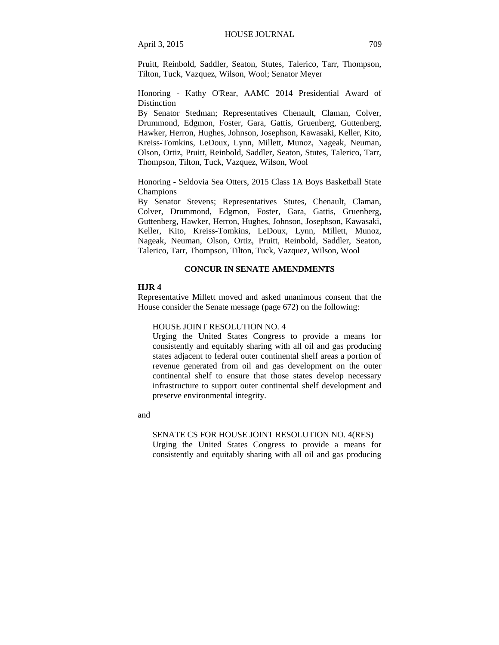Pruitt, Reinbold, Saddler, Seaton, Stutes, Talerico, Tarr, Thompson, Tilton, Tuck, Vazquez, Wilson, Wool; Senator Meyer

Honoring - Kathy O'Rear, AAMC 2014 Presidential Award of Distinction

By Senator Stedman; Representatives Chenault, Claman, Colver, Drummond, Edgmon, Foster, Gara, Gattis, Gruenberg, Guttenberg, Hawker, Herron, Hughes, Johnson, Josephson, Kawasaki, Keller, Kito, Kreiss-Tomkins, LeDoux, Lynn, Millett, Munoz, Nageak, Neuman, Olson, Ortiz, Pruitt, Reinbold, Saddler, Seaton, Stutes, Talerico, Tarr, Thompson, Tilton, Tuck, Vazquez, Wilson, Wool

Honoring - Seldovia Sea Otters, 2015 Class 1A Boys Basketball State Champions

By Senator Stevens; Representatives Stutes, Chenault, Claman, Colver, Drummond, Edgmon, Foster, Gara, Gattis, Gruenberg, Guttenberg, Hawker, Herron, Hughes, Johnson, Josephson, Kawasaki, Keller, Kito, Kreiss-Tomkins, LeDoux, Lynn, Millett, Munoz, Nageak, Neuman, Olson, Ortiz, Pruitt, Reinbold, Saddler, Seaton, Talerico, Tarr, Thompson, Tilton, Tuck, Vazquez, Wilson, Wool

## **CONCUR IN SENATE AMENDMENTS**

## **HJR 4**

Representative Millett moved and asked unanimous consent that the House consider the Senate message (page 672) on the following:

## HOUSE JOINT RESOLUTION NO. 4

Urging the United States Congress to provide a means for consistently and equitably sharing with all oil and gas producing states adjacent to federal outer continental shelf areas a portion of revenue generated from oil and gas development on the outer continental shelf to ensure that those states develop necessary infrastructure to support outer continental shelf development and preserve environmental integrity.

and

#### SENATE CS FOR HOUSE JOINT RESOLUTION NO. 4(RES)

Urging the United States Congress to provide a means for consistently and equitably sharing with all oil and gas producing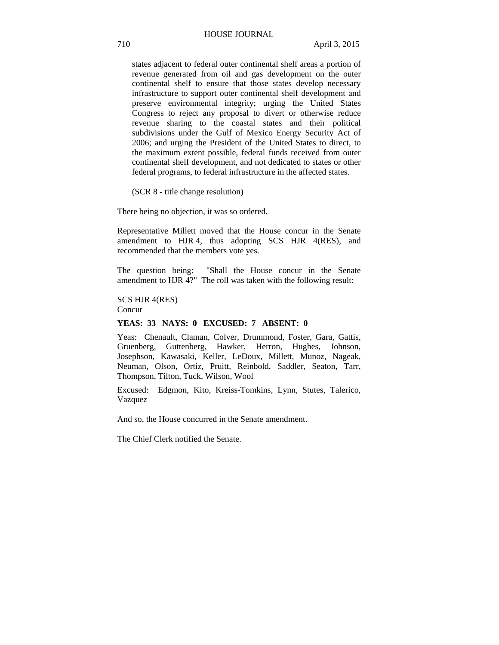states adjacent to federal outer continental shelf areas a portion of revenue generated from oil and gas development on the outer continental shelf to ensure that those states develop necessary infrastructure to support outer continental shelf development and preserve environmental integrity; urging the United States Congress to reject any proposal to divert or otherwise reduce revenue sharing to the coastal states and their political subdivisions under the Gulf of Mexico Energy Security Act of 2006; and urging the President of the United States to direct, to the maximum extent possible, federal funds received from outer continental shelf development, and not dedicated to states or other federal programs, to federal infrastructure in the affected states.

(SCR 8 - title change resolution)

There being no objection, it was so ordered.

Representative Millett moved that the House concur in the Senate amendment to HJR 4, thus adopting SCS HJR 4(RES), and recommended that the members vote yes.

The question being: "Shall the House concur in the Senate amendment to HJR 4?" The roll was taken with the following result:

SCS HJR 4(RES) Concur

## **YEAS: 33 NAYS: 0 EXCUSED: 7 ABSENT: 0**

Yeas: Chenault, Claman, Colver, Drummond, Foster, Gara, Gattis, Gruenberg, Guttenberg, Hawker, Herron, Hughes, Johnson, Josephson, Kawasaki, Keller, LeDoux, Millett, Munoz, Nageak, Neuman, Olson, Ortiz, Pruitt, Reinbold, Saddler, Seaton, Tarr, Thompson, Tilton, Tuck, Wilson, Wool

Excused: Edgmon, Kito, Kreiss-Tomkins, Lynn, Stutes, Talerico, Vazquez

And so, the House concurred in the Senate amendment.

The Chief Clerk notified the Senate.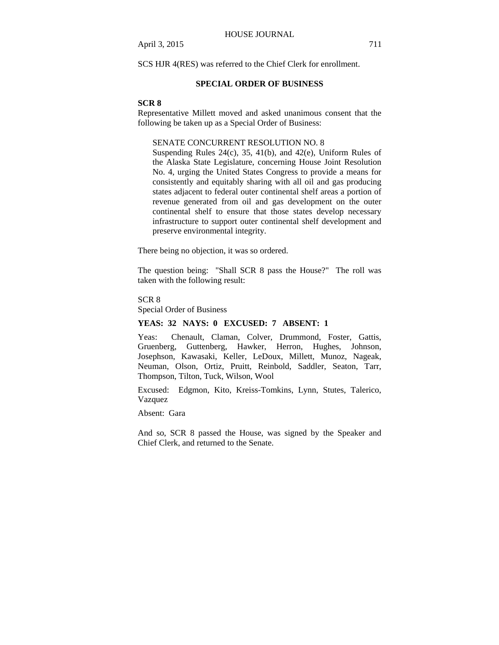SCS HJR 4(RES) was referred to the Chief Clerk for enrollment.

#### **SPECIAL ORDER OF BUSINESS**

#### **SCR 8**

Representative Millett moved and asked unanimous consent that the following be taken up as a Special Order of Business:

## SENATE CONCURRENT RESOLUTION NO. 8

Suspending Rules 24(c), 35, 41(b), and 42(e), Uniform Rules of the Alaska State Legislature, concerning House Joint Resolution No. 4, urging the United States Congress to provide a means for consistently and equitably sharing with all oil and gas producing states adjacent to federal outer continental shelf areas a portion of revenue generated from oil and gas development on the outer continental shelf to ensure that those states develop necessary infrastructure to support outer continental shelf development and preserve environmental integrity.

There being no objection, it was so ordered.

The question being: "Shall SCR 8 pass the House?" The roll was taken with the following result:

SCR 8

Special Order of Business

## **YEAS: 32 NAYS: 0 EXCUSED: 7 ABSENT: 1**

Yeas: Chenault, Claman, Colver, Drummond, Foster, Gattis, Gruenberg, Guttenberg, Hawker, Herron, Hughes, Johnson, Josephson, Kawasaki, Keller, LeDoux, Millett, Munoz, Nageak, Neuman, Olson, Ortiz, Pruitt, Reinbold, Saddler, Seaton, Tarr, Thompson, Tilton, Tuck, Wilson, Wool

Excused: Edgmon, Kito, Kreiss-Tomkins, Lynn, Stutes, Talerico, Vazquez

Absent: Gara

And so, SCR 8 passed the House, was signed by the Speaker and Chief Clerk, and returned to the Senate.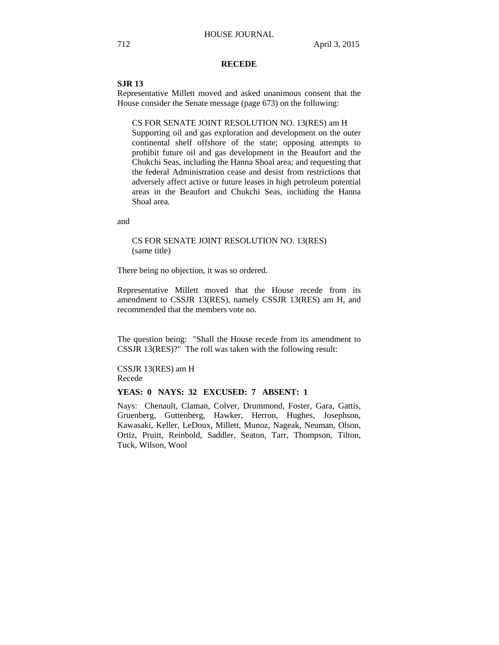#### **RECEDE**

#### **SJR 13**

Representative Millett moved and asked unanimous consent that the House consider the Senate message (page 673) on the following:

CS FOR SENATE JOINT RESOLUTION NO. 13(RES) am H Supporting oil and gas exploration and development on the outer continental shelf offshore of the state; opposing attempts to prohibit future oil and gas development in the Beaufort and the Chukchi Seas, including the Hanna Shoal area; and requesting that the federal Administration cease and desist from restrictions that adversely affect active or future leases in high petroleum potential areas in the Beaufort and Chukchi Seas, including the Hanna Shoal area.

and

## CS FOR SENATE JOINT RESOLUTION NO. 13(RES) (same title)

There being no objection, it was so ordered.

Representative Millett moved that the House recede from its amendment to CSSJR 13(RES), namely CSSJR 13(RES) am H, and recommended that the members vote no.

The question being: "Shall the House recede from its amendment to CSSJR 13(RES)?" The roll was taken with the following result:

CSSJR 13(RES) am H Recede

## **YEAS: 0 NAYS: 32 EXCUSED: 7 ABSENT: 1**

Nays: Chenault, Claman, Colver, Drummond, Foster, Gara, Gattis, Gruenberg, Guttenberg, Hawker, Herron, Hughes, Josephson, Kawasaki, Keller, LeDoux, Millett, Munoz, Nageak, Neuman, Olson, Ortiz, Pruitt, Reinbold, Saddler, Seaton, Tarr, Thompson, Tilton, Tuck, Wilson, Wool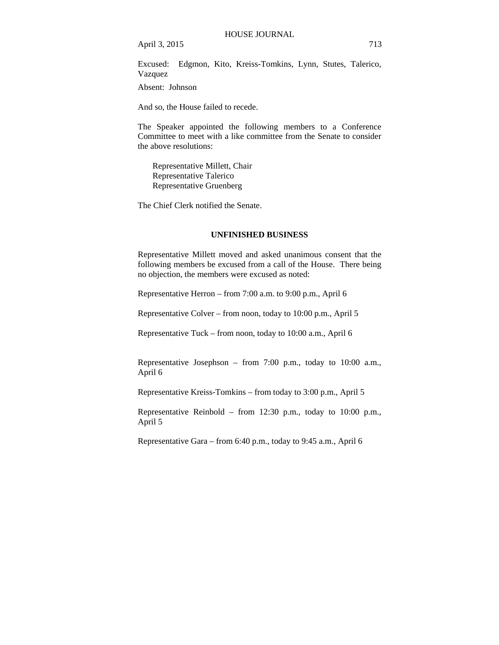Excused: Edgmon, Kito, Kreiss-Tomkins, Lynn, Stutes, Talerico, Vazquez

Absent: Johnson

And so, the House failed to recede.

The Speaker appointed the following members to a Conference Committee to meet with a like committee from the Senate to consider the above resolutions:

Representative Millett, Chair Representative Talerico Representative Gruenberg

The Chief Clerk notified the Senate.

#### **UNFINISHED BUSINESS**

Representative Millett moved and asked unanimous consent that the following members be excused from a call of the House. There being no objection, the members were excused as noted:

Representative Herron – from 7:00 a.m. to 9:00 p.m., April 6

Representative Colver – from noon, today to 10:00 p.m., April 5

Representative Tuck – from noon, today to 10:00 a.m., April 6

Representative Josephson – from 7:00 p.m., today to 10:00 a.m., April 6

Representative Kreiss-Tomkins – from today to 3:00 p.m., April 5

Representative Reinbold – from 12:30 p.m., today to 10:00 p.m., April 5

Representative Gara – from 6:40 p.m., today to 9:45 a.m., April 6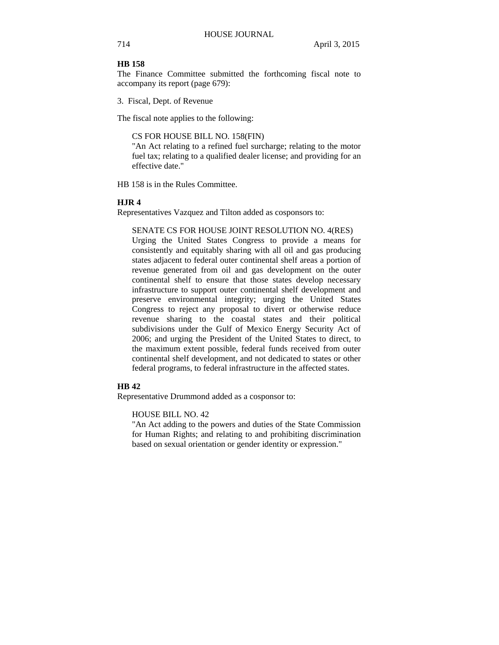## **HB 158**

The Finance Committee submitted the forthcoming fiscal note to accompany its report (page 679):

3. Fiscal, Dept. of Revenue

The fiscal note applies to the following:

## CS FOR HOUSE BILL NO. 158(FIN)

"An Act relating to a refined fuel surcharge; relating to the motor fuel tax; relating to a qualified dealer license; and providing for an effective date."

HB 158 is in the Rules Committee.

## **HJR 4**

Representatives Vazquez and Tilton added as cosponsors to:

## SENATE CS FOR HOUSE JOINT RESOLUTION NO. 4(RES)

Urging the United States Congress to provide a means for consistently and equitably sharing with all oil and gas producing states adjacent to federal outer continental shelf areas a portion of revenue generated from oil and gas development on the outer continental shelf to ensure that those states develop necessary infrastructure to support outer continental shelf development and preserve environmental integrity; urging the United States Congress to reject any proposal to divert or otherwise reduce revenue sharing to the coastal states and their political subdivisions under the Gulf of Mexico Energy Security Act of 2006; and urging the President of the United States to direct, to the maximum extent possible, federal funds received from outer continental shelf development, and not dedicated to states or other federal programs, to federal infrastructure in the affected states.

## **HB 42**

Representative Drummond added as a cosponsor to:

## HOUSE BILL NO. 42

"An Act adding to the powers and duties of the State Commission for Human Rights; and relating to and prohibiting discrimination based on sexual orientation or gender identity or expression."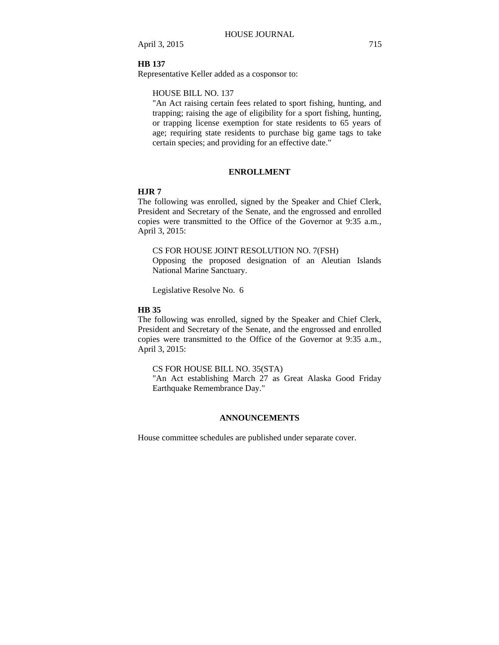## **HB 137**

Representative Keller added as a cosponsor to:

## HOUSE BILL NO. 137

"An Act raising certain fees related to sport fishing, hunting, and trapping; raising the age of eligibility for a sport fishing, hunting, or trapping license exemption for state residents to 65 years of age; requiring state residents to purchase big game tags to take certain species; and providing for an effective date."

#### **ENROLLMENT**

## **HJR 7**

The following was enrolled, signed by the Speaker and Chief Clerk, President and Secretary of the Senate, and the engrossed and enrolled copies were transmitted to the Office of the Governor at 9:35 a.m., April 3, 2015:

CS FOR HOUSE JOINT RESOLUTION NO. 7(FSH)

Opposing the proposed designation of an Aleutian Islands National Marine Sanctuary.

Legislative Resolve No. 6

#### **HB 35**

The following was enrolled, signed by the Speaker and Chief Clerk, President and Secretary of the Senate, and the engrossed and enrolled copies were transmitted to the Office of the Governor at 9:35 a.m., April 3, 2015:

## CS FOR HOUSE BILL NO. 35(STA)

"An Act establishing March 27 as Great Alaska Good Friday Earthquake Remembrance Day."

## **ANNOUNCEMENTS**

House committee schedules are published under separate cover.